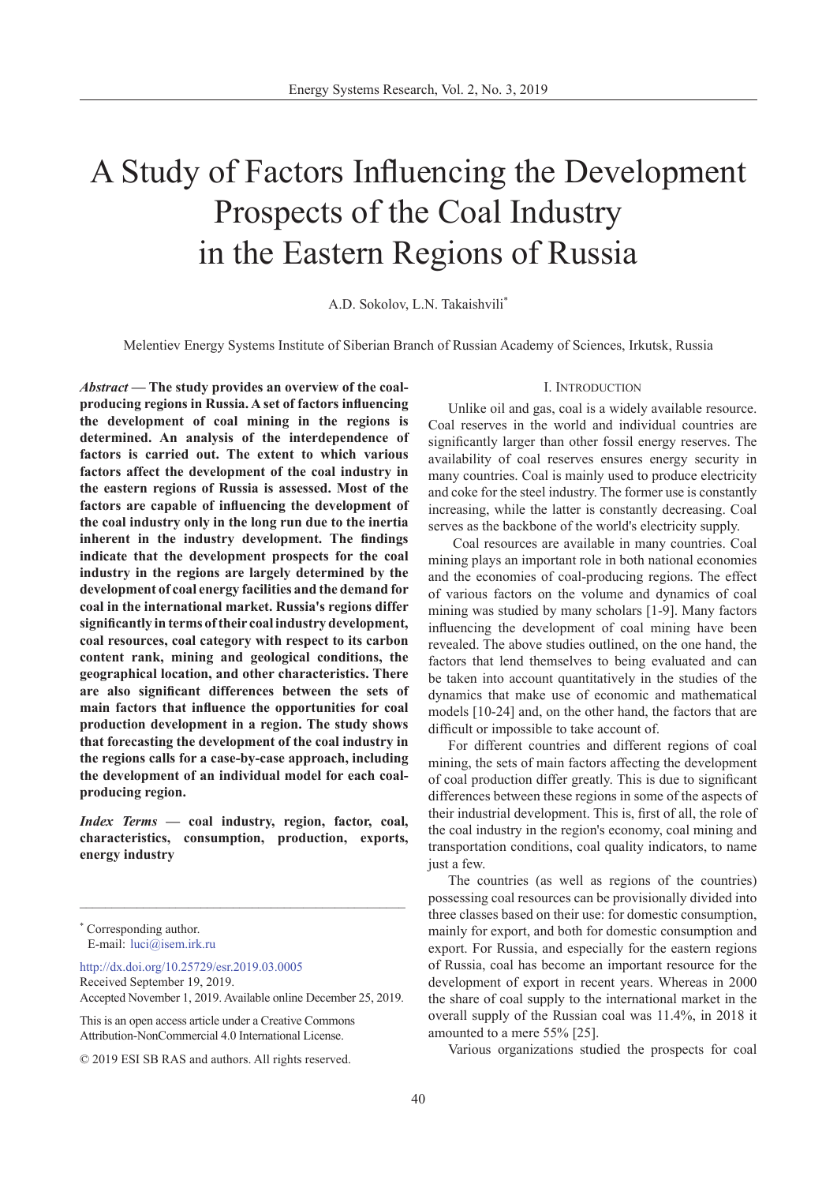# A Study of Factors Influencing the Development Prospects of the Coal Industry in the Eastern Regions of Russia

A.D. Sokolov, L.N. Takaishvili\*

Melentiev Energy Systems Institute of Siberian Branch of Russian Academy of Sciences, Irkutsk, Russia

*Abstract* **— The study provides an overview of the coalproducing regions in Russia. A set of factors influencing the development of coal mining in the regions is determined. An analysis of the interdependence of factors is carried out. The extent to which various factors affect the development of the coal industry in the eastern regions of Russia is assessed. Most of the factors are capable of influencing the development of the coal industry only in the long run due to the inertia inherent in the industry development. The findings indicate that the development prospects for the coal industry in the regions are largely determined by the development of coal energy facilities and the demand for coal in the international market. Russia's regions differ significantly in terms of their coal industry development, coal resources, coal category with respect to its carbon content rank, mining and geological conditions, the geographical location, and other characteristics. There are also significant differences between the sets of main factors that influence the opportunities for coal production development in a region. The study shows that forecasting the development of the coal industry in the regions calls for a case-by-case approach, including the development of an individual model for each coalproducing region.**

*Index Terms* **— coal industry, region, factor, coal, characteristics, consumption, production, exports, energy industry**

\_\_\_\_\_\_\_\_\_\_\_\_\_\_\_\_\_\_\_\_\_\_\_\_\_\_\_\_\_\_\_\_\_\_\_\_\_\_\_\_\_\_\_\_\_\_\_\_\_\_\_

http://dx.doi.org/10.25729/esr.2019.03.0005 Received September 19, 2019. Accepted November 1, 2019. Available online December 25, 2019.

This is an open access article under a Creative Commons Attribution-NonCommercial 4.0 International License.

#### I. Introduction

Unlike oil and gas, coal is a widely available resource. Coal reserves in the world and individual countries are significantly larger than other fossil energy reserves. The availability of coal reserves ensures energy security in many countries. Coal is mainly used to produce electricity and coke for the steel industry. The former use is constantly increasing, while the latter is constantly decreasing. Coal serves as the backbone of the world's electricity supply.

 Coal resources are available in many countries. Coal mining plays an important role in both national economies and the economies of coal-producing regions. The effect of various factors on the volume and dynamics of coal mining was studied by many scholars [1-9]. Many factors influencing the development of coal mining have been revealed. The above studies outlined, on the one hand, the factors that lend themselves to being evaluated and can be taken into account quantitatively in the studies of the dynamics that make use of economic and mathematical models [10-24] and, on the other hand, the factors that are difficult or impossible to take account of.

For different countries and different regions of coal mining, the sets of main factors affecting the development of coal production differ greatly. This is due to significant differences between these regions in some of the aspects of their industrial development. This is, first of all, the role of the coal industry in the region's economy, coal mining and transportation conditions, coal quality indicators, to name just a few.

The countries (as well as regions of the countries) possessing coal resources can be provisionally divided into three classes based on their use: for domestic consumption, mainly for export, and both for domestic consumption and export. For Russia, and especially for the eastern regions of Russia, coal has become an important resource for the development of export in recent years. Whereas in 2000 the share of coal supply to the international market in the overall supply of the Russian coal was 11.4%, in 2018 it amounted to a mere 55% [25].

Various organizations studied the prospects for coal

<sup>\*</sup> Corresponding author. E-mail: luci@isem.irk.ru

<sup>© 2019</sup> ESI SB RAS and authors. All rights reserved.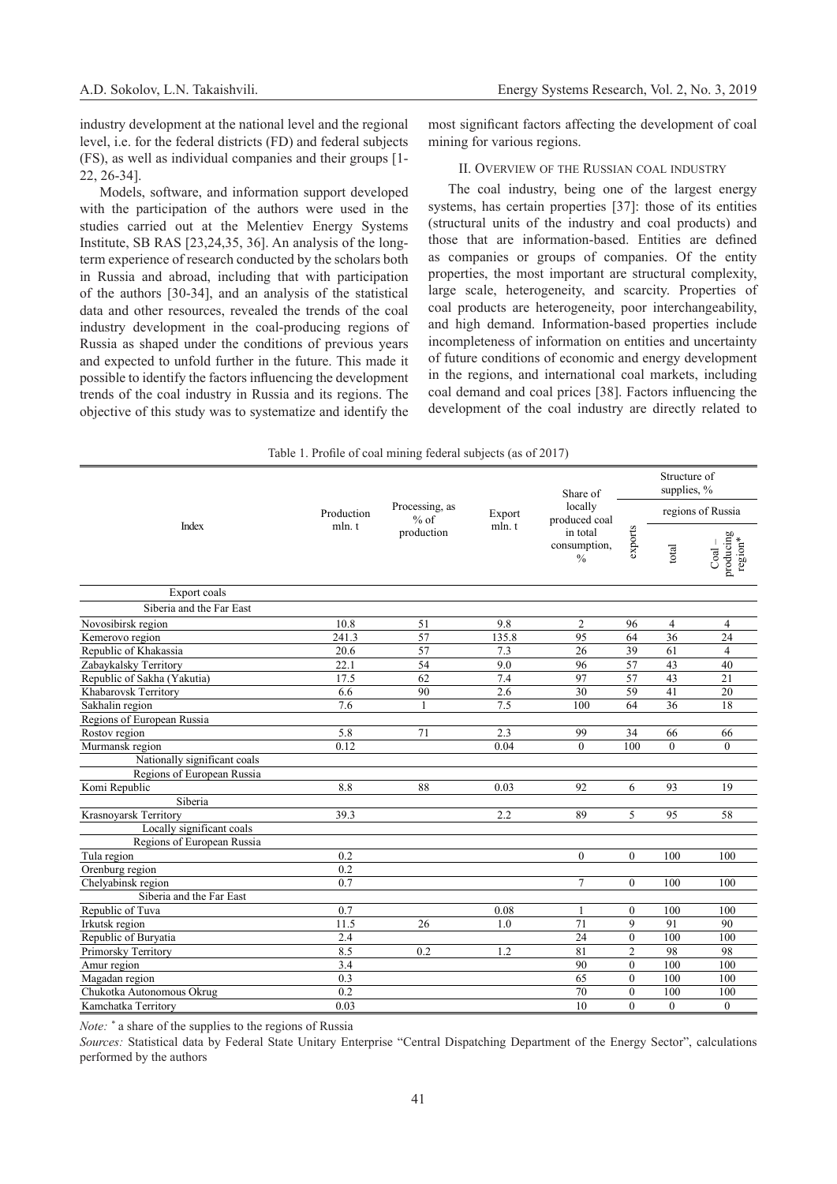industry development at the national level and the regional level, i.e. for the federal districts (FD) and federal subjects (FS), as well as individual companies and their groups [1- 22, 26-34].

Models, software, and information support developed with the participation of the authors were used in the studies carried out at the Melentiev Energy Systems Institute, SB RAS [23,24,35, 36]. An analysis of the longterm experience of research conducted by the scholars both in Russia and abroad, including that with participation of the authors [30-34], and an analysis of the statistical data and other resources, revealed the trends of the coal industry development in the coal-producing regions of Russia as shaped under the conditions of previous years and expected to unfold further in the future. This made it possible to identify the factors influencing the development trends of the coal industry in Russia and its regions. The objective of this study was to systematize and identify the most significant factors affecting the development of coal mining for various regions.

#### II. Overview of the Russian coal industry

The coal industry, being one of the largest energy systems, has certain properties [37]: those of its entities (structural units of the industry and coal products) and those that are information-based. Entities are defined as companies or groups of companies. Of the entity properties, the most important are structural complexity, large scale, heterogeneity, and scarcity. Properties of coal products are heterogeneity, poor interchangeability, and high demand. Information-based properties include incompleteness of information on entities and uncertainty of future conditions of economic and energy development in the regions, and international coal markets, including coal demand and coal prices [38]. Factors influencing the development of the coal industry are directly related to

|  |  |  | Table 1. Profile of coal mining federal subjects (as of 2017) |  |
|--|--|--|---------------------------------------------------------------|--|
|  |  |  |                                                               |  |

|                              |                      | Processing, as<br>$%$ of<br>production | Export<br>mln.t | Share of                                                              |                | Structure of<br>supplies, % |                                                                  |
|------------------------------|----------------------|----------------------------------------|-----------------|-----------------------------------------------------------------------|----------------|-----------------------------|------------------------------------------------------------------|
|                              | Production<br>mln. t |                                        |                 | locally<br>produced coal<br>in total<br>consumption.<br>$\frac{0}{0}$ |                | regions of Russia           |                                                                  |
| Index                        |                      |                                        |                 |                                                                       | exports        | total                       | $\operatorname*{producing}_{\operatorname*{region}^{*}}$<br>Coal |
| Export coals                 |                      |                                        |                 |                                                                       |                |                             |                                                                  |
| Siberia and the Far East     |                      |                                        |                 |                                                                       |                |                             |                                                                  |
| Novosibirsk region           | 10.8                 | 51                                     | 9.8             | $\overline{2}$                                                        | 96             | $\overline{4}$              | $\overline{4}$                                                   |
| Kemerovo region              | 241.3                | 57                                     | 135.8           | 95                                                                    | 64             | 36                          | 24                                                               |
| Republic of Khakassia        | 20.6                 | 57                                     | 7.3             | 26                                                                    | 39             | 61                          | $\overline{4}$                                                   |
| Zabaykalsky Territory        | $\overline{22.1}$    | 54                                     | 9.0             | 96                                                                    | 57             | 43                          | 40                                                               |
| Republic of Sakha (Yakutia)  | 17.5                 | 62                                     | $7.4\,$         | 97                                                                    | 57             | 43                          | 21                                                               |
| Khabarovsk Territory         | 6.6                  | 90                                     | 2.6             | $\overline{30}$                                                       | 59             | 41                          | $\overline{20}$                                                  |
| Sakhalin region              | 7.6                  |                                        | 7.5             | 100                                                                   | 64             | 36                          | 18                                                               |
| Regions of European Russia   |                      |                                        |                 |                                                                       |                |                             |                                                                  |
| Rostov region                | 5.8                  | 71                                     | 2.3             | 99                                                                    | 34             | 66                          | 66                                                               |
| Murmansk region              | 0.12                 |                                        | 0.04            | $\theta$                                                              | 100            | $\theta$                    | $\theta$                                                         |
| Nationally significant coals |                      |                                        |                 |                                                                       |                |                             |                                                                  |
| Regions of European Russia   |                      |                                        |                 |                                                                       |                |                             |                                                                  |
| Komi Republic                | 8.8                  | 88                                     | 0.03            | 92                                                                    | 6              | 93                          | 19                                                               |
| Siberia                      |                      |                                        |                 |                                                                       |                |                             |                                                                  |
| Krasnoyarsk Territory        | 39.3                 |                                        | 2.2             | 89                                                                    | 5              | 95                          | 58                                                               |
| Locally significant coals    |                      |                                        |                 |                                                                       |                |                             |                                                                  |
| Regions of European Russia   |                      |                                        |                 |                                                                       |                |                             |                                                                  |
| Tula region                  | 0.2                  |                                        |                 | $\theta$                                                              | $\overline{0}$ | 100                         | 100                                                              |
| Orenburg region              | 0.2                  |                                        |                 |                                                                       |                |                             |                                                                  |
| Chelyabinsk region           | 0.7                  |                                        |                 | $\overline{7}$                                                        | $\theta$       | 100                         | 100                                                              |
| Siberia and the Far East     |                      |                                        |                 |                                                                       |                |                             |                                                                  |
| Republic of Tuva             | 0.7                  |                                        | 0.08            |                                                                       | $\mathbf{0}$   | 100                         | 100                                                              |
| Irkutsk region               | 11.5                 | 26                                     | 1.0             | 71                                                                    | $\mathbf{Q}$   | 91                          | 90                                                               |
| Republic of Buryatia         | 2.4                  |                                        |                 | 24                                                                    | $\mathbf{0}$   | 100                         | 100                                                              |
| Primorsky Territory          | 8.5                  | 0.2                                    | 1.2             | 81                                                                    | $\overline{c}$ | 98                          | 98                                                               |
| Amur region                  | 3.4                  |                                        |                 | 90                                                                    | $\mathbf{0}$   | 100                         | 100                                                              |
| Magadan region               | 0.3                  |                                        |                 | 65                                                                    | $\theta$       | 100                         | 100                                                              |
| Chukotka Autonomous Okrug    | 0.2                  |                                        |                 | 70                                                                    | $\theta$       | 100                         | 100                                                              |
| Kamchatka Territory          | 0.03                 |                                        |                 | 10                                                                    | $\Omega$       | $\theta$                    | $\theta$                                                         |

*Note: \** a share of the supplies to the regions of Russia

*Sources:* Statistical data by Federal State Unitary Enterprise "Central Dispatching Department of the Energy Sector", calculations performed by the authors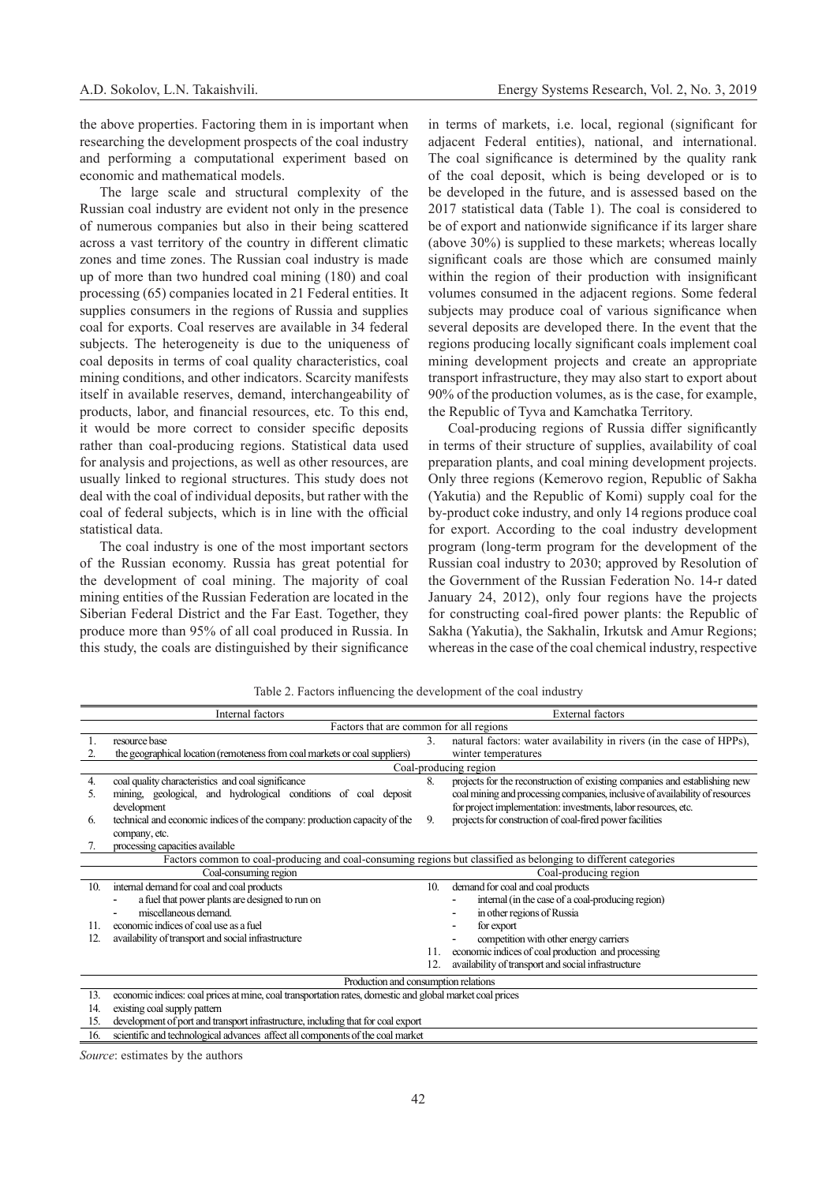the above properties. Factoring them in is important when researching the development prospects of the coal industry and performing a computational experiment based on economic and mathematical models.

The large scale and structural complexity of the Russian coal industry are evident not only in the presence of numerous companies but also in their being scattered across a vast territory of the country in different climatic zones and time zones. The Russian coal industry is made up of more than two hundred coal mining (180) and coal processing (65) companies located in 21 Federal entities. It supplies consumers in the regions of Russia and supplies coal for exports. Coal reserves are available in 34 federal subjects. The heterogeneity is due to the uniqueness of coal deposits in terms of coal quality characteristics, coal mining conditions, and other indicators. Scarcity manifests itself in available reserves, demand, interchangeability of products, labor, and financial resources, etc. To this end, it would be more correct to consider specific deposits rather than coal-producing regions. Statistical data used for analysis and projections, as well as other resources, are usually linked to regional structures. This study does not deal with the coal of individual deposits, but rather with the coal of federal subjects, which is in line with the official statistical data.

The coal industry is one of the most important sectors of the Russian economy. Russia has great potential for the development of coal mining. The majority of coal mining entities of the Russian Federation are located in the Siberian Federal District and the Far East. Together, they produce more than 95% of all coal produced in Russia. In this study, the coals are distinguished by their significance

in terms of markets, i.e. local, regional (significant for adjacent Federal entities), national, and international. The coal significance is determined by the quality rank of the coal deposit, which is being developed or is to be developed in the future, and is assessed based on the 2017 statistical data (Table 1). The coal is considered to be of export and nationwide significance if its larger share (above 30%) is supplied to these markets; whereas locally significant coals are those which are consumed mainly within the region of their production with insignificant volumes consumed in the adjacent regions. Some federal subjects may produce coal of various significance when several deposits are developed there. In the event that the regions producing locally significant coals implement coal mining development projects and create an appropriate transport infrastructure, they may also start to export about 90% of the production volumes, as is the case, for example, the Republic of Tyva and Kamchatka Territory.

Coal-producing regions of Russia differ significantly in terms of their structure of supplies, availability of coal preparation plants, and coal mining development projects. Only three regions (Kemerovo region, Republic of Sakha (Yakutia) and the Republic of Komi) supply coal for the by-product coke industry, and only 14 regions produce coal for export. According to the coal industry development program (long-term program for the development of the Russian coal industry to 2030; approved by Resolution of the Government of the Russian Federation No. 14-r dated January 24, 2012), only four regions have the projects for constructing coal-fired power plants: the Republic of Sakha (Yakutia), the Sakhalin, Irkutsk and Amur Regions; whereas in the case of the coal chemical industry, respective

| Internal factors |                                                                                                                 |     | <b>External</b> factors                                                      |  |  |  |
|------------------|-----------------------------------------------------------------------------------------------------------------|-----|------------------------------------------------------------------------------|--|--|--|
|                  | Factors that are common for all regions                                                                         |     |                                                                              |  |  |  |
|                  | resource base                                                                                                   | 3.  | natural factors: water availability in rivers (in the case of HPPs),         |  |  |  |
|                  | the geographical location (remoteness from coal markets or coal suppliers)                                      |     | winter temperatures                                                          |  |  |  |
|                  | Coal-producing region                                                                                           |     |                                                                              |  |  |  |
| 4.               | coal quality characteristics and coal significance                                                              | 8.  | projects for the reconstruction of existing companies and establishing new   |  |  |  |
| 5.               | mining, geological, and hydrological conditions of coal deposit                                                 |     | coal mining and processing companies, inclusive of availability of resources |  |  |  |
|                  | development                                                                                                     |     | for project implementation: investments, labor resources, etc.               |  |  |  |
| 6.               | technical and economic indices of the company: production capacity of the                                       | 9.  | projects for construction of coal-fired power facilities                     |  |  |  |
|                  | company, etc.                                                                                                   |     |                                                                              |  |  |  |
|                  | processing capacities available                                                                                 |     |                                                                              |  |  |  |
|                  | Factors common to coal-producing and coal-consuming regions but classified as belonging to different categories |     |                                                                              |  |  |  |
|                  | Coal-consuming region                                                                                           |     | Coal-producing region                                                        |  |  |  |
| 10.              | internal demand for coal and coal products                                                                      | 10. | demand for coal and coal products                                            |  |  |  |
|                  | a fuel that power plants are designed to run on                                                                 |     | internal (in the case of a coal-producing region)                            |  |  |  |
|                  | miscellaneous demand.                                                                                           |     | in other regions of Russia                                                   |  |  |  |
|                  | economic indices of coal use as a fuel                                                                          |     | for export<br>$\overline{\phantom{0}}$                                       |  |  |  |
| 12.              | availability of transport and social infrastructure                                                             |     | competition with other energy carriers                                       |  |  |  |
|                  |                                                                                                                 |     | economic indices of coal production and processing                           |  |  |  |
|                  |                                                                                                                 | 12. | availability of transport and social infrastructure                          |  |  |  |
|                  | Production and consumption relations                                                                            |     |                                                                              |  |  |  |
| 13.              | economic indices: coal prices at mine, coal transportation rates, domestic and global market coal prices        |     |                                                                              |  |  |  |
| 14               | evisting coal supply pattern                                                                                    |     |                                                                              |  |  |  |

Table 2. Factors influencing the development of the coal industry

14. existing coal supply pattern

15. development of port and transport infrastructure, including that for coal export

16. scientific and technological advances affect all components of the coal market

*Source*: estimates by the authors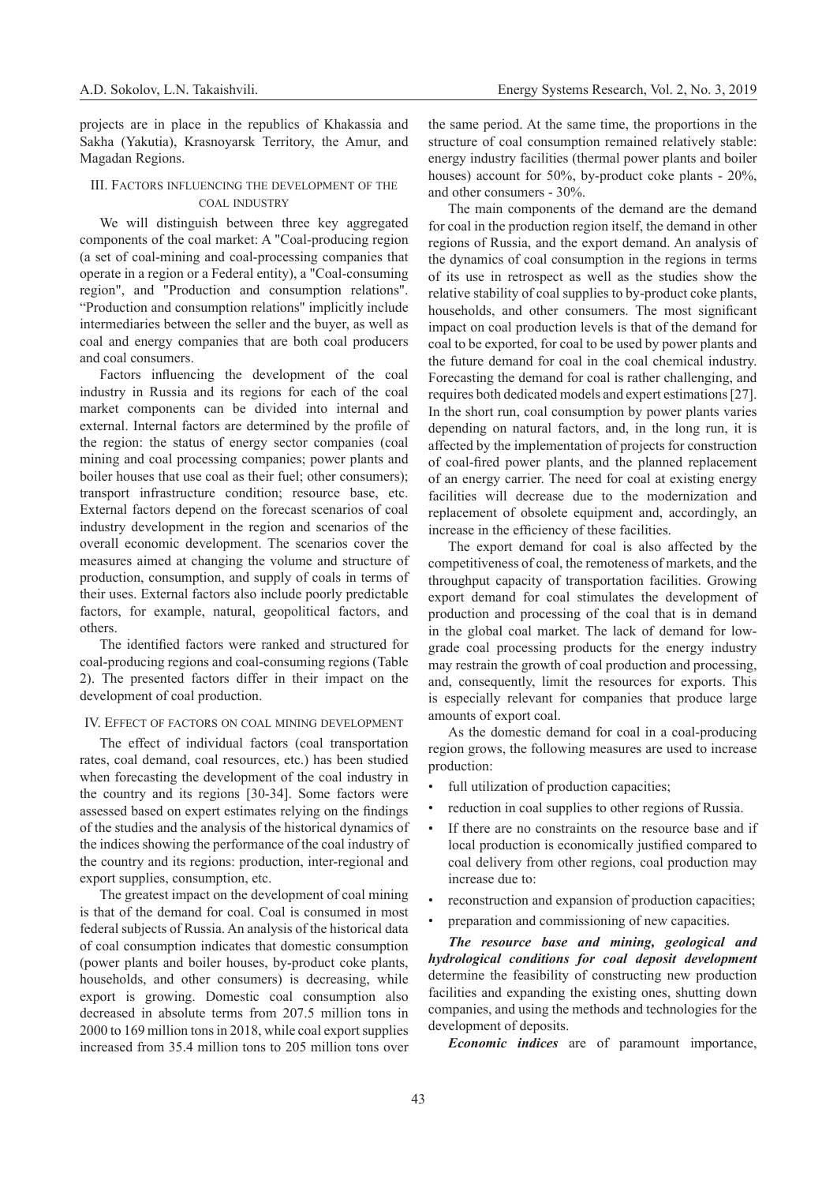projects are in place in the republics of Khakassia and Sakha (Yakutia), Krasnoyarsk Territory, the Amur, and Magadan Regions.

### III. Factors influencing the development of the coal industry

We will distinguish between three key aggregated components of the coal market: A "Coal-producing region (a set of coal-mining and coal-processing companies that operate in a region or a Federal entity), a "Coal-consuming region", and "Production and consumption relations". "Production and consumption relations" implicitly include intermediaries between the seller and the buyer, as well as coal and energy companies that are both coal producers and coal consumers.

Factors influencing the development of the coal industry in Russia and its regions for each of the coal market components can be divided into internal and external. Internal factors are determined by the profile of the region: the status of energy sector companies (coal mining and coal processing companies; power plants and boiler houses that use coal as their fuel; other consumers); transport infrastructure condition; resource base, etc. External factors depend on the forecast scenarios of coal industry development in the region and scenarios of the overall economic development. The scenarios cover the measures aimed at changing the volume and structure of production, consumption, and supply of coals in terms of their uses. External factors also include poorly predictable factors, for example, natural, geopolitical factors, and others.

The identified factors were ranked and structured for coal-producing regions and coal-consuming regions (Table 2). The presented factors differ in their impact on the development of coal production.

## IV. Effect of factors on coal mining development

The effect of individual factors (coal transportation rates, coal demand, coal resources, etc.) has been studied when forecasting the development of the coal industry in the country and its regions [30-34]. Some factors were assessed based on expert estimates relying on the findings of the studies and the analysis of the historical dynamics of the indices showing the performance of the coal industry of the country and its regions: production, inter-regional and export supplies, consumption, etc.

The greatest impact on the development of coal mining is that of the demand for coal. Coal is consumed in most federal subjects of Russia. An analysis of the historical data of coal consumption indicates that domestic consumption (power plants and boiler houses, by-product coke plants, households, and other consumers) is decreasing, while export is growing. Domestic coal consumption also decreased in absolute terms from 207.5 million tons in 2000 to 169 million tons in 2018, while coal export supplies increased from 35.4 million tons to 205 million tons over

the same period. At the same time, the proportions in the structure of coal consumption remained relatively stable: energy industry facilities (thermal power plants and boiler houses) account for 50%, by-product coke plants - 20%, and other consumers - 30%.

The main components of the demand are the demand for coal in the production region itself, the demand in other regions of Russia, and the export demand. An analysis of the dynamics of coal consumption in the regions in terms of its use in retrospect as well as the studies show the relative stability of coal supplies to by-product coke plants, households, and other consumers. The most significant impact on coal production levels is that of the demand for coal to be exported, for coal to be used by power plants and the future demand for coal in the coal chemical industry. Forecasting the demand for coal is rather challenging, and requires both dedicated models and expert estimations [27]. In the short run, coal consumption by power plants varies depending on natural factors, and, in the long run, it is affected by the implementation of projects for construction of coal-fired power plants, and the planned replacement of an energy carrier. The need for coal at existing energy facilities will decrease due to the modernization and replacement of obsolete equipment and, accordingly, an increase in the efficiency of these facilities.

The export demand for coal is also affected by the competitiveness of coal, the remoteness of markets, and the throughput capacity of transportation facilities. Growing export demand for coal stimulates the development of production and processing of the coal that is in demand in the global coal market. The lack of demand for lowgrade coal processing products for the energy industry may restrain the growth of coal production and processing, and, consequently, limit the resources for exports. This is especially relevant for companies that produce large amounts of export coal.

As the domestic demand for coal in a coal-producing region grows, the following measures are used to increase production:

- full utilization of production capacities;
- reduction in coal supplies to other regions of Russia.
- If there are no constraints on the resource base and if local production is economically justified compared to coal delivery from other regions, coal production may increase due to:
- reconstruction and expansion of production capacities;
- preparation and commissioning of new capacities.

*The resource base and mining, geological and hydrological conditions for coal deposit development*  determine the feasibility of constructing new production facilities and expanding the existing ones, shutting down companies, and using the methods and technologies for the development of deposits.

*Economic indices* are of paramount importance,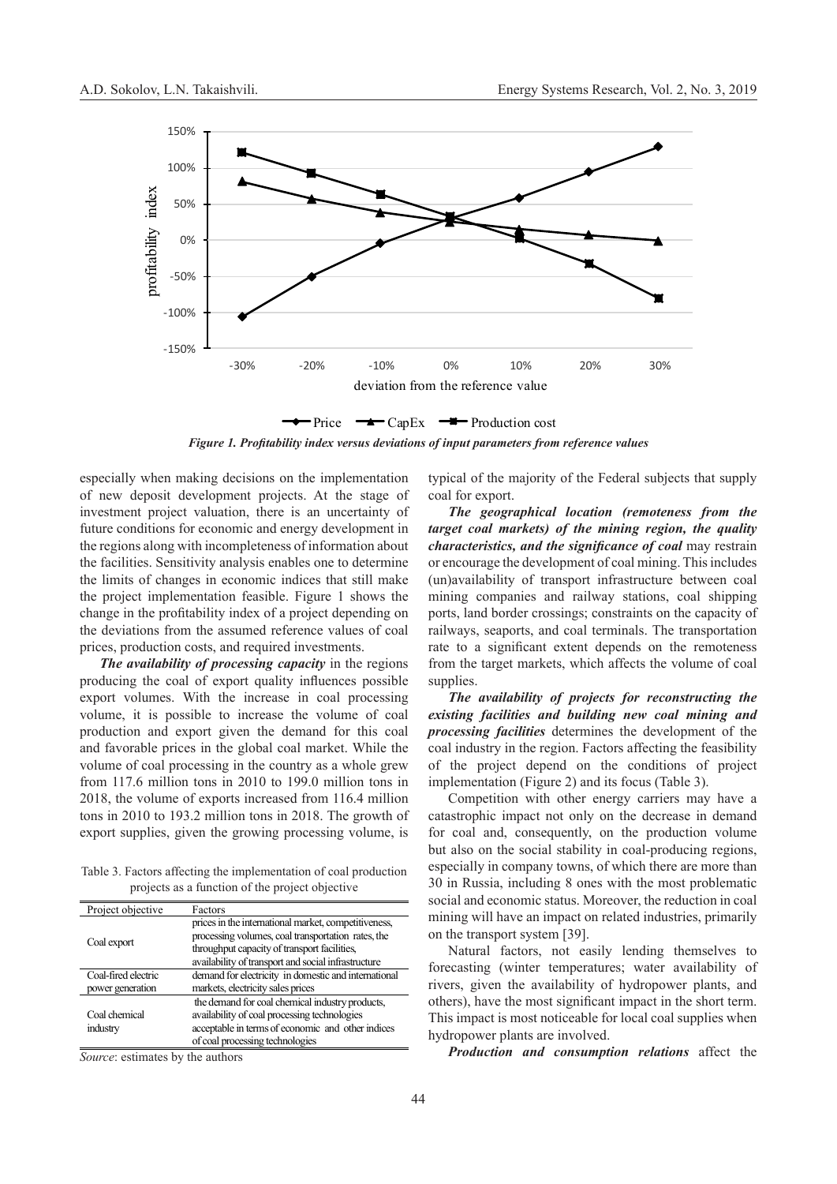

*Figure 1. Profitability index versus deviations of input parameters from reference values*

especially when making decisions on the implementation of new deposit development projects. At the stage of investment project valuation, there is an uncertainty of future conditions for economic and energy development in the regions along with incompleteness of information about the facilities. Sensitivity analysis enables one to determine the limits of changes in economic indices that still make the project implementation feasible. Figure 1 shows the change in the profitability index of a project depending on the deviations from the assumed reference values of coal prices, production costs, and required investments.

*The availability of processing capacity* in the regions producing the coal of export quality influences possible export volumes. With the increase in coal processing volume, it is possible to increase the volume of coal production and export given the demand for this coal and favorable prices in the global coal market. While the volume of coal processing in the country as a whole grew from 117.6 million tons in 2010 to 199.0 million tons in 2018, the volume of exports increased from 116.4 million tons in 2010 to 193.2 million tons in 2018. The growth of export supplies, given the growing processing volume, is

Table 3. Factors affecting the implementation of coal production projects as a function of the project objective

| Project objective   | Factors                                              |
|---------------------|------------------------------------------------------|
|                     | prices in the international market, competitiveness, |
|                     | processing volumes, coal transportation rates, the   |
| Coal export         | throughput capacity of transport facilities,         |
|                     | availability of transport and social infrastructure  |
| Coal-fired electric | demand for electricity in domestic and international |
| power generation    | markets, electricity sales prices                    |
|                     | the demand for coal chemical industry products.      |
| Coal chemical       | availability of coal processing technologies         |
| industry            | acceptable in terms of economic and other indices    |
|                     | of coal processing technologies                      |

*Source*: estimates by the authors

typical of the majority of the Federal subjects that supply coal for export.

*The geographical location (remoteness from the target coal markets) of the mining region, the quality characteristics, and the significance of coal* may restrain or encourage the development of coal mining. This includes (un)availability of transport infrastructure between coal mining companies and railway stations, coal shipping ports, land border crossings; constraints on the capacity of railways, seaports, and coal terminals. The transportation rate to a significant extent depends on the remoteness from the target markets, which affects the volume of coal supplies.

*The availability of projects for reconstructing the existing facilities and building new coal mining and processing facilities* determines the development of the coal industry in the region. Factors affecting the feasibility of the project depend on the conditions of project implementation (Figure 2) and its focus (Table 3).

Competition with other energy carriers may have a catastrophic impact not only on the decrease in demand for coal and, consequently, on the production volume but also on the social stability in coal-producing regions, especially in company towns, of which there are more than 30 in Russia, including 8 ones with the most problematic social and economic status. Moreover, the reduction in coal mining will have an impact on related industries, primarily on the transport system [39].

Natural factors, not easily lending themselves to forecasting (winter temperatures; water availability of rivers, given the availability of hydropower plants, and others), have the most significant impact in the short term. This impact is most noticeable for local coal supplies when hydropower plants are involved.

*Production and consumption relations* affect the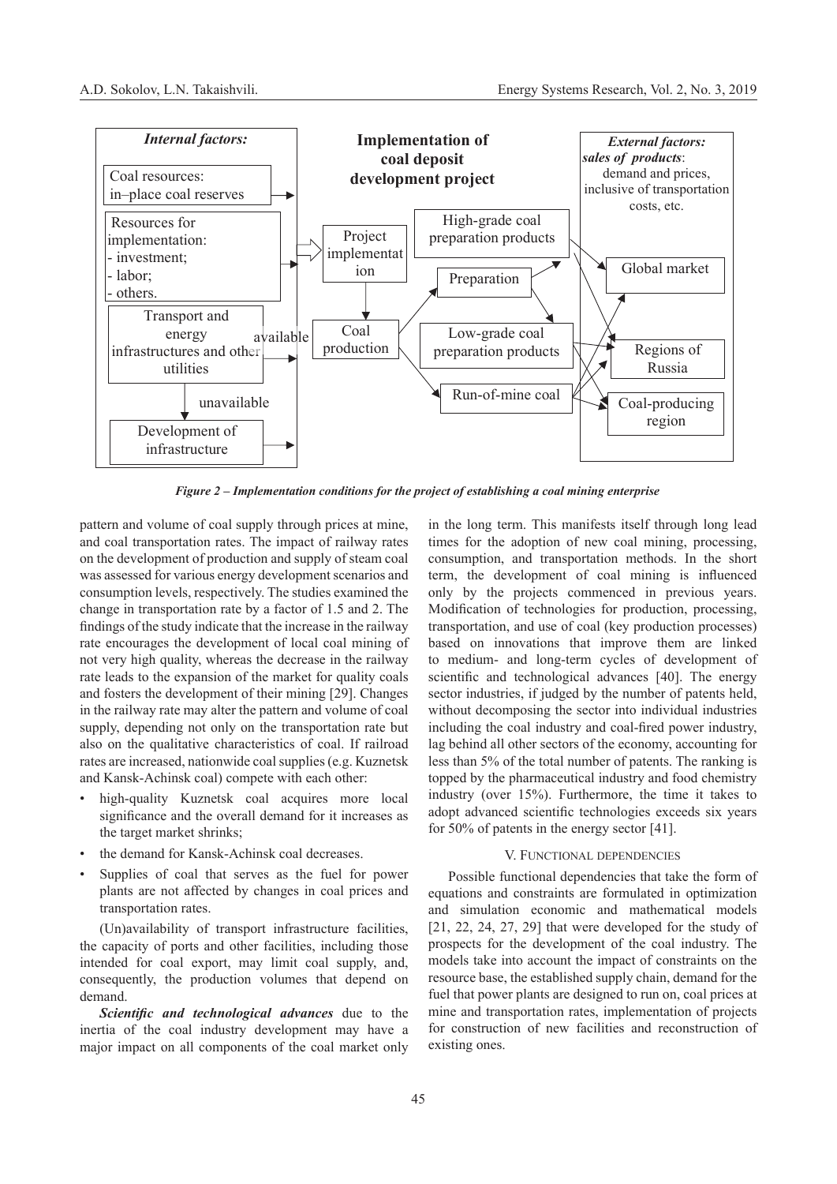

*Figure 2 – Implementation conditions for the project of establishing a coal mining enterprise*

pattern and volume of coal supply through prices at mine, and coal transportation rates. The impact of railway rates on the development of production and supply of steam coal was assessed for various energy development scenarios and consumption levels, respectively. The studies examined the change in transportation rate by a factor of 1.5 and 2. The findings of the study indicate that the increase in the railway rate encourages the development of local coal mining of not very high quality, whereas the decrease in the railway rate leads to the expansion of the market for quality coals and fosters the development of their mining [29]. Changes in the railway rate may alter the pattern and volume of coal supply, depending not only on the transportation rate but also on the qualitative characteristics of coal. If railroad rates are increased, nationwide coal supplies (e.g. Kuznetsk and Kansk-Achinsk coal) compete with each other:

- high-quality Kuznetsk coal acquires more local significance and the overall demand for it increases as the target market shrinks;
- the demand for Kansk-Achinsk coal decreases.
- Supplies of coal that serves as the fuel for power plants are not affected by changes in coal prices and transportation rates.

(Un)availability of transport infrastructure facilities, the capacity of ports and other facilities, including those intended for coal export, may limit coal supply, and, consequently, the production volumes that depend on demand.

*Scientific and technological advances* due to the inertia of the coal industry development may have a major impact on all components of the coal market only

in the long term. This manifests itself through long lead times for the adoption of new coal mining, processing, consumption, and transportation methods. In the short term, the development of coal mining is influenced only by the projects commenced in previous years. Modification of technologies for production, processing, transportation, and use of coal (key production processes) based on innovations that improve them are linked to medium- and long-term cycles of development of scientific and technological advances [40]. The energy sector industries, if judged by the number of patents held, without decomposing the sector into individual industries including the coal industry and coal-fired power industry, lag behind all other sectors of the economy, accounting for less than 5% of the total number of patents. The ranking is topped by the pharmaceutical industry and food chemistry industry (over 15%). Furthermore, the time it takes to adopt advanced scientific technologies exceeds six years for 50% of patents in the energy sector [41].

### V. Functional dependencies

Possible functional dependencies that take the form of equations and constraints are formulated in optimization and simulation economic and mathematical models [21, 22, 24, 27, 29] that were developed for the study of prospects for the development of the coal industry. The models take into account the impact of constraints on the resource base, the established supply chain, demand for the fuel that power plants are designed to run on, coal prices at mine and transportation rates, implementation of projects for construction of new facilities and reconstruction of existing ones.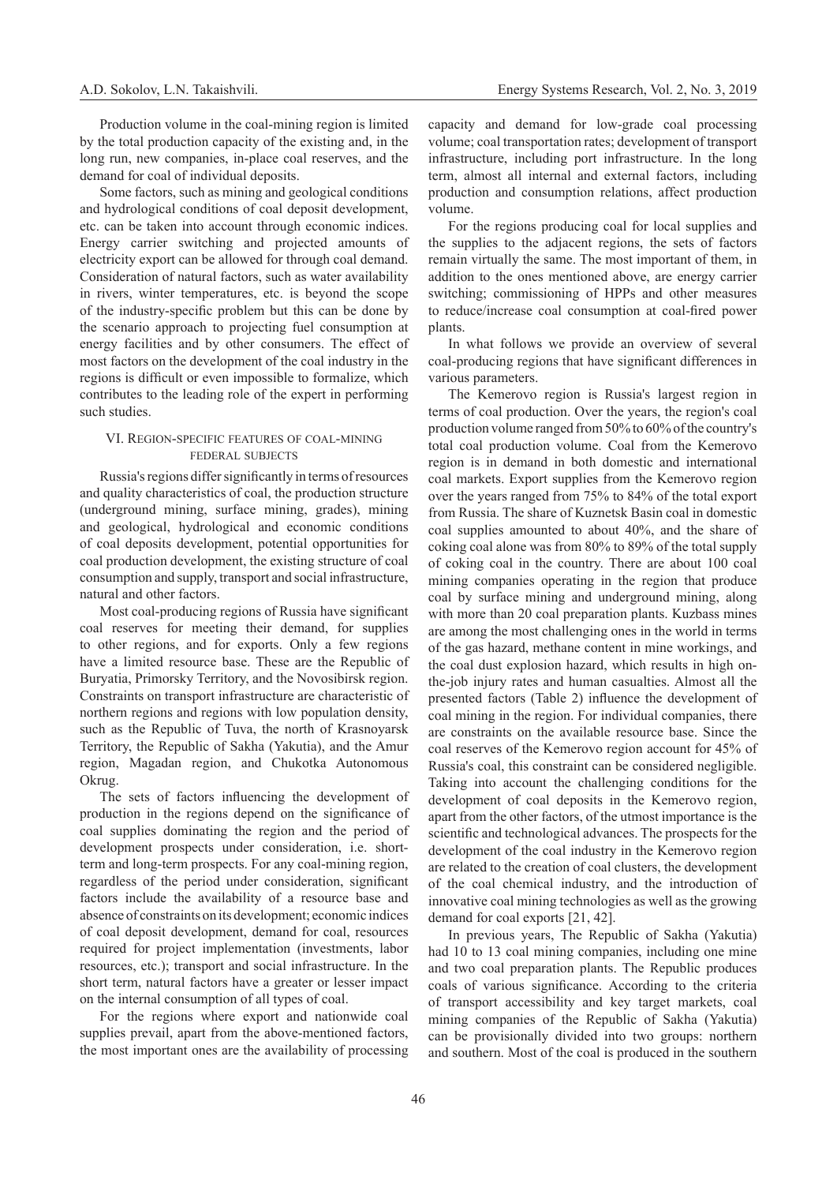Production volume in the coal-mining region is limited by the total production capacity of the existing and, in the long run, new companies, in-place coal reserves, and the demand for coal of individual deposits.

Some factors, such as mining and geological conditions and hydrological conditions of coal deposit development, etc. can be taken into account through economic indices. Energy carrier switching and projected amounts of electricity export can be allowed for through coal demand. Consideration of natural factors, such as water availability in rivers, winter temperatures, etc. is beyond the scope of the industry-specific problem but this can be done by the scenario approach to projecting fuel consumption at energy facilities and by other consumers. The effect of most factors on the development of the coal industry in the regions is difficult or even impossible to formalize, which contributes to the leading role of the expert in performing such studies.

## VI. Region-specific features of coal-mining federal subjects

Russia's regions differ significantly in terms of resources and quality characteristics of coal, the production structure (underground mining, surface mining, grades), mining and geological, hydrological and economic conditions of coal deposits development, potential opportunities for coal production development, the existing structure of coal consumption and supply, transport and social infrastructure, natural and other factors.

Most coal-producing regions of Russia have significant coal reserves for meeting their demand, for supplies to other regions, and for exports. Only a few regions have a limited resource base. These are the Republic of Buryatia, Primorsky Territory, and the Novosibirsk region. Constraints on transport infrastructure are characteristic of northern regions and regions with low population density, such as the Republic of Tuva, the north of Krasnoyarsk Territory, the Republic of Sakha (Yakutia), and the Amur region, Magadan region, and Chukotka Autonomous Okrug.

The sets of factors influencing the development of production in the regions depend on the significance of coal supplies dominating the region and the period of development prospects under consideration, i.e. shortterm and long-term prospects. For any coal-mining region, regardless of the period under consideration, significant factors include the availability of a resource base and absence of constraints on its development; economic indices of coal deposit development, demand for coal, resources required for project implementation (investments, labor resources, etc.); transport and social infrastructure. In the short term, natural factors have a greater or lesser impact on the internal consumption of all types of coal.

For the regions where export and nationwide coal supplies prevail, apart from the above-mentioned factors, the most important ones are the availability of processing

capacity and demand for low-grade coal processing volume; coal transportation rates; development of transport infrastructure, including port infrastructure. In the long term, almost all internal and external factors, including production and consumption relations, affect production volume.

For the regions producing coal for local supplies and the supplies to the adjacent regions, the sets of factors remain virtually the same. The most important of them, in addition to the ones mentioned above, are energy carrier switching; commissioning of HPPs and other measures to reduce/increase coal consumption at coal-fired power plants.

In what follows we provide an overview of several coal-producing regions that have significant differences in various parameters.

The Kemerovo region is Russia's largest region in terms of coal production. Over the years, the region's coal production volume ranged from 50% to 60% of the country's total coal production volume. Coal from the Kemerovo region is in demand in both domestic and international coal markets. Export supplies from the Kemerovo region over the years ranged from 75% to 84% of the total export from Russia. The share of Kuznetsk Basin coal in domestic coal supplies amounted to about 40%, and the share of coking coal alone was from 80% to 89% of the total supply of coking coal in the country. There are about 100 coal mining companies operating in the region that produce coal by surface mining and underground mining, along with more than 20 coal preparation plants. Kuzbass mines are among the most challenging ones in the world in terms of the gas hazard, methane content in mine workings, and the coal dust explosion hazard, which results in high onthe-job injury rates and human casualties. Almost all the presented factors (Table 2) influence the development of coal mining in the region. For individual companies, there are constraints on the available resource base. Since the coal reserves of the Kemerovo region account for 45% of Russia's coal, this constraint can be considered negligible. Taking into account the challenging conditions for the development of coal deposits in the Kemerovo region, apart from the other factors, of the utmost importance is the scientific and technological advances. The prospects for the development of the coal industry in the Kemerovo region are related to the creation of coal clusters, the development of the coal chemical industry, and the introduction of innovative coal mining technologies as well as the growing demand for coal exports [21, 42].

In previous years, The Republic of Sakha (Yakutia) had 10 to 13 coal mining companies, including one mine and two coal preparation plants. The Republic produces coals of various significance. According to the criteria of transport accessibility and key target markets, coal mining companies of the Republic of Sakha (Yakutia) can be provisionally divided into two groups: northern and southern. Most of the coal is produced in the southern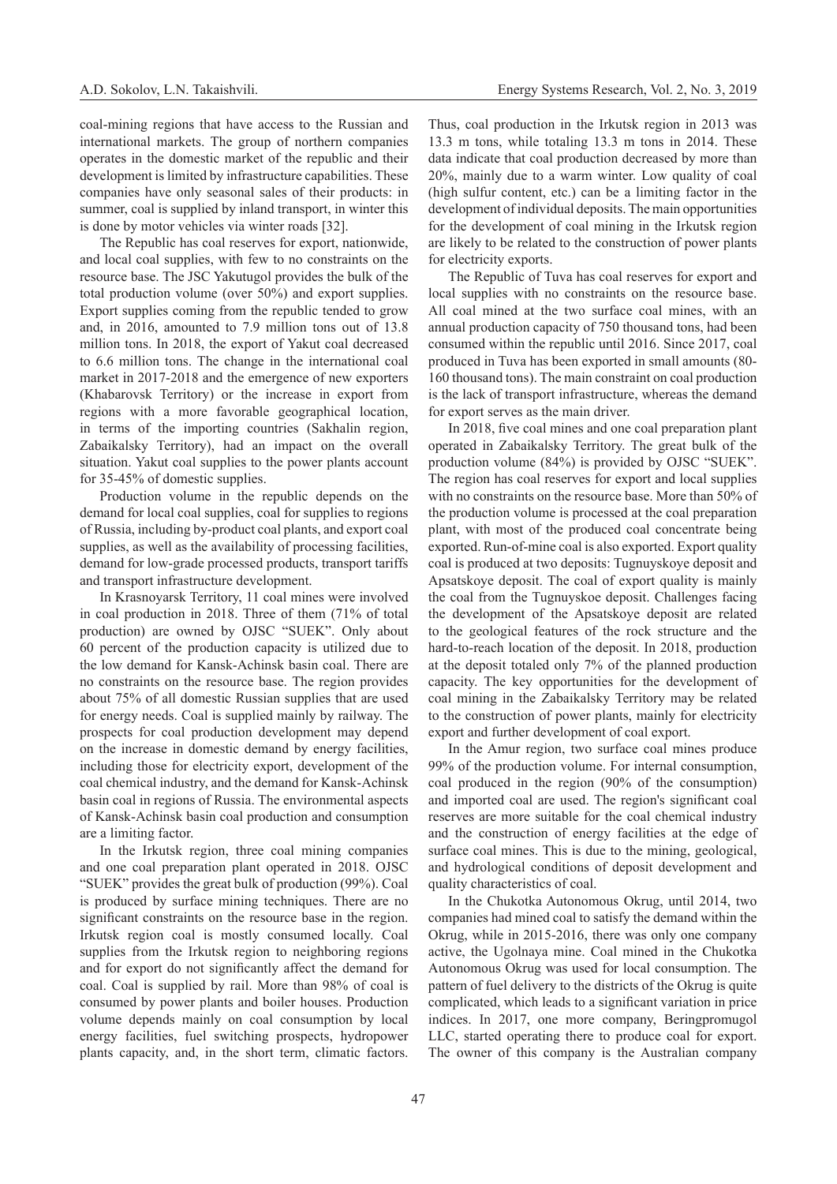coal-mining regions that have access to the Russian and international markets. The group of northern companies operates in the domestic market of the republic and their development is limited by infrastructure capabilities. These companies have only seasonal sales of their products: in summer, coal is supplied by inland transport, in winter this is done by motor vehicles via winter roads [32].

The Republic has coal reserves for export, nationwide, and local coal supplies, with few to no constraints on the resource base. The JSC Yakutugol provides the bulk of the total production volume (over 50%) and export supplies. Export supplies coming from the republic tended to grow and, in 2016, amounted to 7.9 million tons out of 13.8 million tons. In 2018, the export of Yakut coal decreased to 6.6 million tons. The change in the international coal market in 2017-2018 and the emergence of new exporters (Khabarovsk Territory) or the increase in export from regions with a more favorable geographical location, in terms of the importing countries (Sakhalin region, Zabaikalsky Territory), had an impact on the overall situation. Yakut coal supplies to the power plants account for 35-45% of domestic supplies.

Production volume in the republic depends on the demand for local coal supplies, coal for supplies to regions of Russia, including by-product coal plants, and export coal supplies, as well as the availability of processing facilities, demand for low-grade processed products, transport tariffs and transport infrastructure development.

In Krasnoyarsk Territory, 11 coal mines were involved in coal production in 2018. Three of them (71% of total production) are owned by OJSC "SUEK". Only about 60 percent of the production capacity is utilized due to the low demand for Kansk-Achinsk basin coal. There are no constraints on the resource base. The region provides about 75% of all domestic Russian supplies that are used for energy needs. Coal is supplied mainly by railway. The prospects for coal production development may depend on the increase in domestic demand by energy facilities, including those for electricity export, development of the coal chemical industry, and the demand for Kansk-Achinsk basin coal in regions of Russia. The environmental aspects of Kansk-Achinsk basin coal production and consumption are a limiting factor.

In the Irkutsk region, three coal mining companies and one coal preparation plant operated in 2018. OJSC "SUEK" provides the great bulk of production (99%). Coal is produced by surface mining techniques. There are no significant constraints on the resource base in the region. Irkutsk region coal is mostly consumed locally. Coal supplies from the Irkutsk region to neighboring regions and for export do not significantly affect the demand for coal. Coal is supplied by rail. More than 98% of coal is consumed by power plants and boiler houses. Production volume depends mainly on coal consumption by local energy facilities, fuel switching prospects, hydropower plants capacity, and, in the short term, climatic factors.

Thus, coal production in the Irkutsk region in 2013 was 13.3 m tons, while totaling 13.3 m tons in 2014. These data indicate that coal production decreased by more than 20%, mainly due to a warm winter. Low quality of coal (high sulfur content, etc.) can be a limiting factor in the development of individual deposits. The main opportunities for the development of coal mining in the Irkutsk region are likely to be related to the construction of power plants for electricity exports.

The Republic of Tuva has coal reserves for export and local supplies with no constraints on the resource base. All coal mined at the two surface coal mines, with an annual production capacity of 750 thousand tons, had been consumed within the republic until 2016. Since 2017, coal produced in Tuva has been exported in small amounts (80- 160 thousand tons). The main constraint on coal production is the lack of transport infrastructure, whereas the demand for export serves as the main driver.

In 2018, five coal mines and one coal preparation plant operated in Zabaikalsky Territory. The great bulk of the production volume (84%) is provided by OJSC "SUEK". The region has coal reserves for export and local supplies with no constraints on the resource base. More than 50% of the production volume is processed at the coal preparation plant, with most of the produced coal concentrate being exported. Run-of-mine coal is also exported. Export quality coal is produced at two deposits: Tugnuyskoye deposit and Apsatskoye deposit. The coal of export quality is mainly the coal from the Tugnuyskoe deposit. Challenges facing the development of the Apsatskoye deposit are related to the geological features of the rock structure and the hard-to-reach location of the deposit. In 2018, production at the deposit totaled only 7% of the planned production capacity. The key opportunities for the development of coal mining in the Zabaikalsky Territory may be related to the construction of power plants, mainly for electricity export and further development of coal export.

In the Amur region, two surface coal mines produce 99% of the production volume. For internal consumption, coal produced in the region (90% of the consumption) and imported coal are used. The region's significant coal reserves are more suitable for the coal chemical industry and the construction of energy facilities at the edge of surface coal mines. This is due to the mining, geological, and hydrological conditions of deposit development and quality characteristics of coal.

In the Chukotka Autonomous Okrug, until 2014, two companies had mined coal to satisfy the demand within the Okrug, while in 2015-2016, there was only one company active, the Ugolnaya mine. Coal mined in the Chukotka Autonomous Okrug was used for local consumption. The pattern of fuel delivery to the districts of the Okrug is quite complicated, which leads to a significant variation in price indices. In 2017, one more company, Beringpromugol LLC, started operating there to produce coal for export. The owner of this company is the Australian company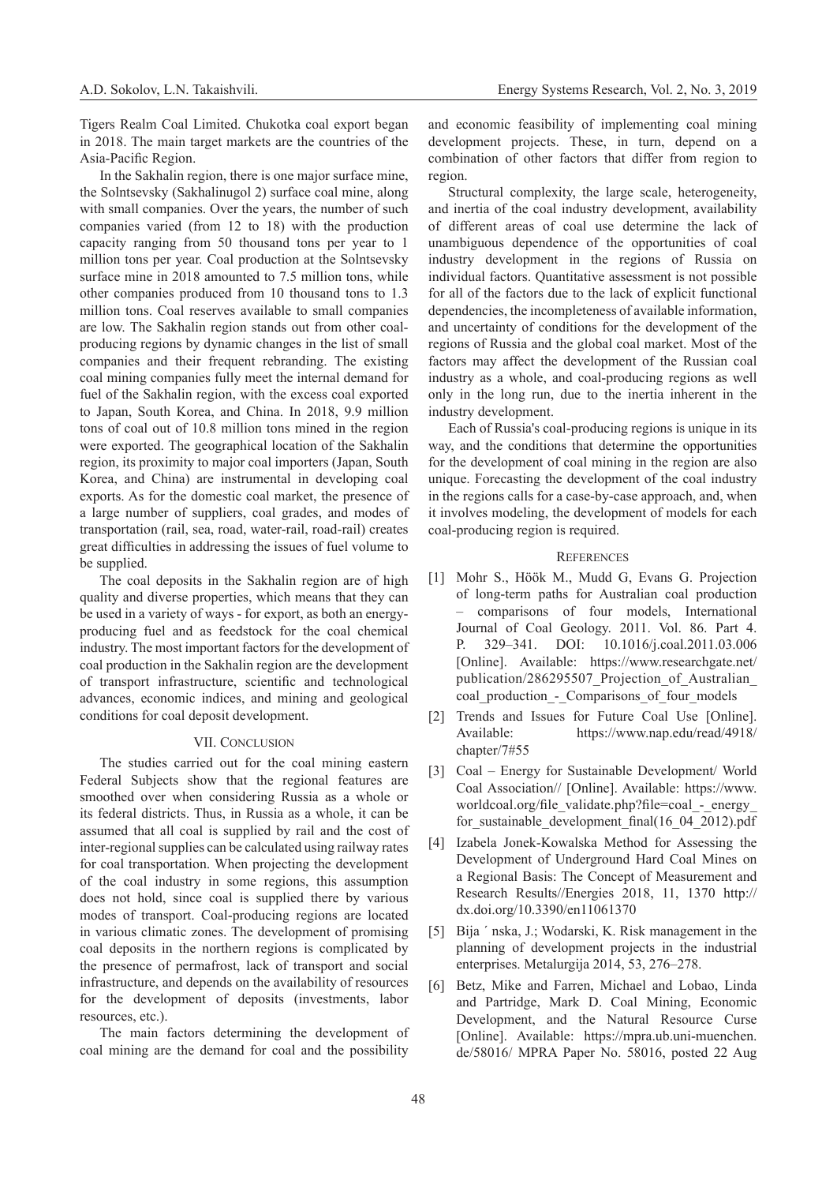Tigers Realm Coal Limited. Chukotka coal export began in 2018. The main target markets are the countries of the Asia-Pacific Region.

In the Sakhalin region, there is one major surface mine, the Solntsevsky (Sakhalinugol 2) surface coal mine, along with small companies. Over the years, the number of such companies varied (from 12 to 18) with the production capacity ranging from 50 thousand tons per year to 1 million tons per year. Coal production at the Solntsevsky surface mine in 2018 amounted to 7.5 million tons, while other companies produced from 10 thousand tons to 1.3 million tons. Coal reserves available to small companies are low. The Sakhalin region stands out from other coalproducing regions by dynamic changes in the list of small companies and their frequent rebranding. The existing coal mining companies fully meet the internal demand for fuel of the Sakhalin region, with the excess coal exported to Japan, South Korea, and China. In 2018, 9.9 million tons of coal out of 10.8 million tons mined in the region were exported. The geographical location of the Sakhalin region, its proximity to major coal importers (Japan, South Korea, and China) are instrumental in developing coal exports. As for the domestic coal market, the presence of a large number of suppliers, coal grades, and modes of transportation (rail, sea, road, water-rail, road-rail) creates great difficulties in addressing the issues of fuel volume to be supplied.

The coal deposits in the Sakhalin region are of high quality and diverse properties, which means that they can be used in a variety of ways - for export, as both an energyproducing fuel and as feedstock for the coal chemical industry. The most important factors for the development of coal production in the Sakhalin region are the development of transport infrastructure, scientific and technological advances, economic indices, and mining and geological conditions for coal deposit development.

## VII. CONCLUSION

The studies carried out for the coal mining eastern Federal Subjects show that the regional features are smoothed over when considering Russia as a whole or its federal districts. Thus, in Russia as a whole, it can be assumed that all coal is supplied by rail and the cost of inter-regional supplies can be calculated using railway rates for coal transportation. When projecting the development of the coal industry in some regions, this assumption does not hold, since coal is supplied there by various modes of transport. Coal-producing regions are located in various climatic zones. The development of promising coal deposits in the northern regions is complicated by the presence of permafrost, lack of transport and social infrastructure, and depends on the availability of resources for the development of deposits (investments, labor resources, etc.).

The main factors determining the development of coal mining are the demand for coal and the possibility and economic feasibility of implementing coal mining development projects. These, in turn, depend on a combination of other factors that differ from region to region.

Structural complexity, the large scale, heterogeneity, and inertia of the coal industry development, availability of different areas of coal use determine the lack of unambiguous dependence of the opportunities of coal industry development in the regions of Russia on individual factors. Quantitative assessment is not possible for all of the factors due to the lack of explicit functional dependencies, the incompleteness of available information, and uncertainty of conditions for the development of the regions of Russia and the global coal market. Most of the factors may affect the development of the Russian coal industry as a whole, and coal-producing regions as well only in the long run, due to the inertia inherent in the industry development.

Each of Russia's coal-producing regions is unique in its way, and the conditions that determine the opportunities for the development of coal mining in the region are also unique. Forecasting the development of the coal industry in the regions calls for a case-by-case approach, and, when it involves modeling, the development of models for each coal-producing region is required.

## **REFERENCES**

- [1] Mohr S., Höök M., Mudd G, Evans G. Projection of long-term paths for Australian coal production – comparisons of four models, International Journal of Coal Geology. 2011. Vol. 86. Part 4. P. 329–341. DOI: 10.1016/j.coal.2011.03.006 [Online]. Available: https://www.researchgate.net/ publication/286295507\_Projection\_of\_Australian\_ coal\_production\_-\_Comparisons\_of\_four\_models
- [2] Trends and Issues for Future Coal Use [Online]. Available: https://www.nap.edu/read/4918/ chapter/7#55
- [3] Coal Energy for Sustainable Development/ World Coal Association// [Online]. Available: https://www. worldcoal.org/file\_validate.php?file=coal\_-\_energy\_ for\_sustainable\_development\_final(16\_04\_2012).pdf
- [4] Izabela Jonek-Kowalska Method for Assessing the Development of Underground Hard Coal Mines on a Regional Basis: The Concept of Measurement and Research Results//Energies 2018, 11, 1370 http:// dx.doi.org/10.3390/en11061370
- [5] Bija ´ nska, J.; Wodarski, K. Risk management in the planning of development projects in the industrial enterprises. Metalurgija 2014, 53, 276–278.
- [6] Betz, Mike and Farren, Michael and Lobao, Linda and Partridge, Mark D. Coal Mining, Economic Development, and the Natural Resource Curse [Online]. Available: https://mpra.ub.uni-muenchen. de/58016/ MPRA Paper No. 58016, posted 22 Aug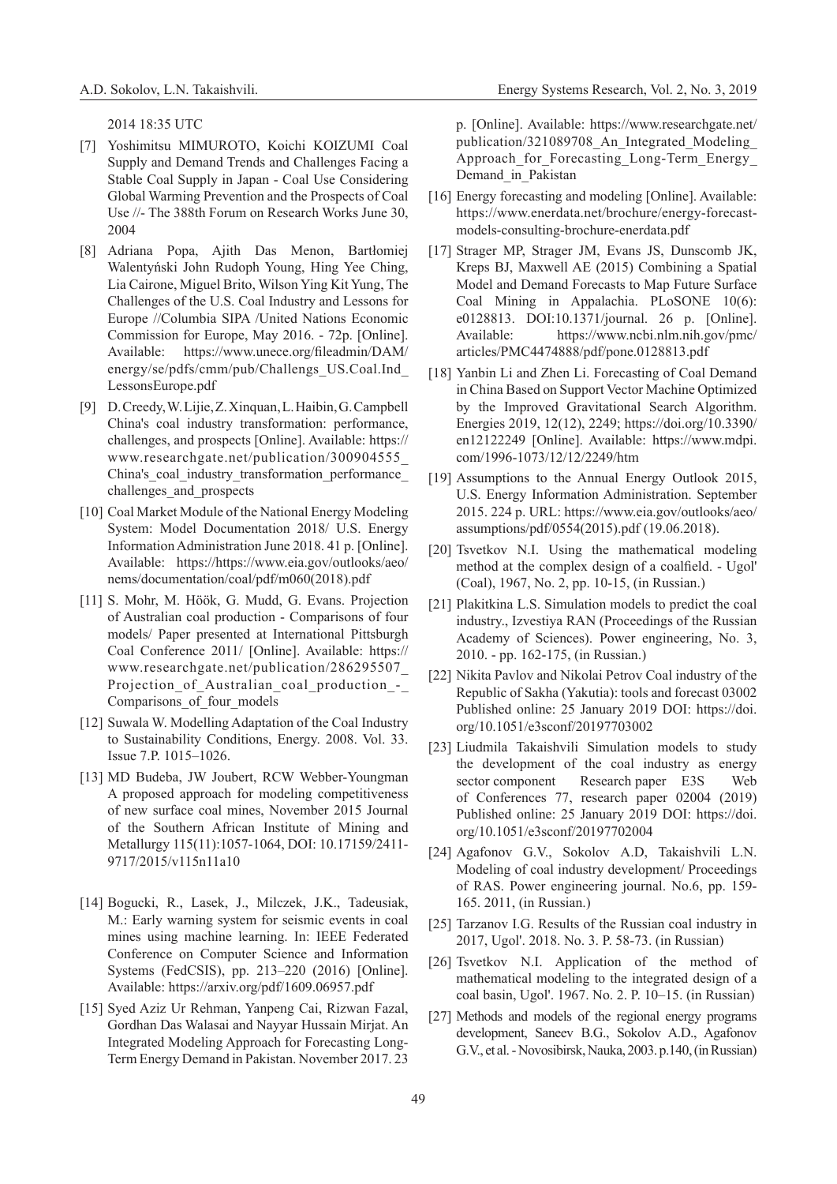2014 18:35 UTC

- [7] Yoshimitsu MIMUROTO, Koichi KOIZUMI Coal Supply and Demand Trends and Challenges Facing a Stable Coal Supply in Japan - Coal Use Considering Global Warming Prevention and the Prospects of Coal Use //- The 388th Forum on Research Works June 30, 2004
- [8] Adriana Popa, Ajith Das Menon, Bartłomiej Walentyński John Rudoph Young, Hing Yee Ching, Lia Cairone, Miguel Brito, Wilson Ying Kit Yung, The Challenges of the U.S. Coal Industry and Lessons for Europe //Columbia SIPA /United Nations Economic Commission for Europe, May 2016. - 72p. [Online]. Available: https://www.unece.org/fileadmin/DAM/ energy/se/pdfs/cmm/pub/Challengs\_US.Coal.Ind\_ LessonsEurope.pdf
- [9] D. Creedy, W. Lijie, Z. Xinquan, L. Haibin, G. Campbell China's coal industry transformation: performance, challenges, and prospects [Online]. Available: https:// www.researchgate.net/publication/300904555\_ China's coal industry transformation performance challenges and prospects
- [10] Coal Market Module of the National Energy Modeling System: Model Documentation 2018/ U.S. Energy Information Administration June 2018. 41 p. [Online]. Available: https://https://www.eia.gov/outlooks/aeo/ nems/documentation/coal/pdf/m060(2018).pdf
- [11] S. Mohr, M. Höök, G. Mudd, G. Evans. Projection of Australian coal production - Comparisons of four models/ Paper presented at International Pittsburgh Coal Conference 2011/ [Online]. Available: https:// www.researchgate.net/publication/286295507\_ Projection of Australian coal production -Comparisons of four models
- [12] Suwala W. Modelling Adaptation of the Coal Industry to Sustainability Conditions, Energy. 2008. Vol. 33. Issue 7.P. 1015–1026.
- [13] MD Budeba, JW Joubert, RCW Webber-Youngman A proposed approach for modeling competitiveness of new surface coal mines, November 2015 Journal of the Southern African Institute of Mining and Metallurgy 115(11):1057-1064, DOI: 10.17159/2411- 9717/2015/v115n11a10
- [14] Bogucki, R., Lasek, J., Milczek, J.K., Tadeusiak, M.: Early warning system for seismic events in coal mines using machine learning. In: IEEE Federated Conference on Computer Science and Information Systems (FedCSIS), pp. 213–220 (2016) [Online]. Available: https://arxiv.org/pdf/1609.06957.pdf
- [15] Syed Aziz Ur Rehman, Yanpeng Cai, Rizwan Fazal, Gordhan Das Walasai and Nayyar Hussain Mirjat. An Integrated Modeling Approach for Forecasting Long-Term Energy Demand in Pakistan. November 2017. 23

p. [Online]. Available: https://www.researchgate.net/ publication/321089708\_An\_Integrated\_Modeling\_ Approach\_for\_Forecasting\_Long-Term\_Energy\_ Demand\_in\_Pakistan

- [16] Energy forecasting and modeling [Online]. Available: https://www.enerdata.net/brochure/energy-forecastmodels-consulting-brochure-enerdata.pdf
- [17] Strager MP, Strager JM, Evans JS, Dunscomb JK, Kreps BJ, Maxwell AE (2015) Combining a Spatial Model and Demand Forecasts to Map Future Surface Coal Mining in Appalachia. PLoSONE 10(6): e0128813. DOI:10.1371/journal. 26 p. [Online]. Available: https://www.ncbi.nlm.nih.gov/pmc/ articles/PMC4474888/pdf/pone.0128813.pdf
- [18] Yanbin Li and Zhen Li. Forecasting of Coal Demand in China Based on Support Vector Machine Optimized by the Improved Gravitational Search Algorithm. Energies 2019, 12(12), 2249; https://doi.org/10.3390/ en12122249 [Online]. Available: https://www.mdpi. com/1996-1073/12/12/2249/htm
- [19] Assumptions to the Annual Energy Outlook 2015, U.S. Energy Information Administration. September 2015. 224 p. URL: https://www.eia.gov/outlooks/aeo/ assumptions/pdf/0554(2015).pdf (19.06.2018).
- [20] Tsvetkov N.I. Using the mathematical modeling method at the complex design of a coalfield. - Ugol' (Coal), 1967, No. 2, pp. 10-15, (in Russian.)
- [21] Plakitkina L.S. Simulation models to predict the coal industry., Izvestiya RAN (Proceedings of the Russian Academy of Sciences). Power engineering, No. 3, 2010. - pp. 162-175, (in Russian.)
- [22] Nikita Pavlov and Nikolai Petrov Coal industry of the Republic of Sakha (Yakutia): tools and forecast 03002 Published online: 25 January 2019 DOI: https://doi. org/10.1051/e3sconf/20197703002
- [23] Liudmila Takaishvili Simulation models to study the development of the coal industry as energy sector component Research paper E3S Web of Conferences 77, research paper 02004 (2019) Published online: 25 January 2019 DOI: https://doi. org/10.1051/e3sconf/20197702004
- [24] Agafonov G.V., Sokolov А.D, Takaishvili L.N. Modeling of coal industry development/ Proceedings of RAS. Power engineering journal. No.6, pp. 159- 165. 2011, (in Russian.)
- [25] Tarzanov I.G. Results of the Russian coal industry in 2017, Ugol'. 2018. No. 3. P. 58-73. (in Russian)
- [26] Tsvetkov N.I. Application of the method of mathematical modeling to the integrated design of a coal basin, Ugol'. 1967. No. 2. P. 10–15. (in Russian)
- [27] Methods and models of the regional energy programs development, Saneev B.G., Sokolov A.D., Agafonov G.V., et al. - Novosibirsk, Nauka, 2003. p.140, (in Russian)